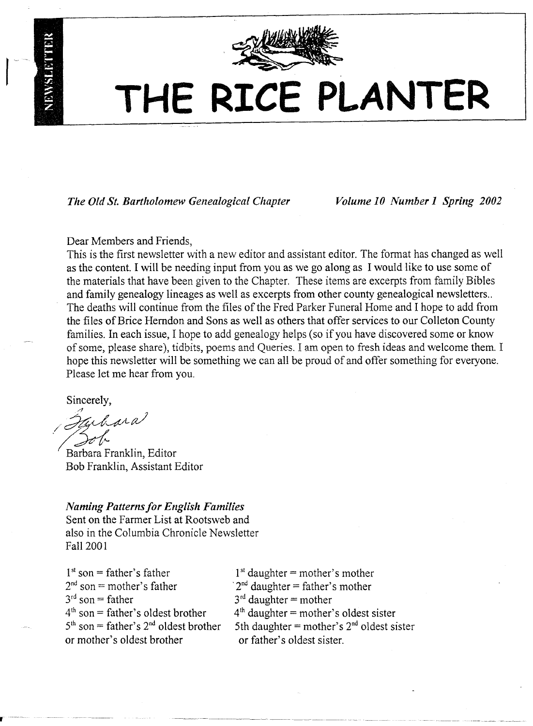

# **THE RICE PLANTER**

*The Old St. Bartholomew Genealogical Chapter Volume 10 Number* 1*Spring 2002*

Dear Members and Friends,

This is the first newsletter with a new editor and assistant editor. The format has changed as well as the content. I will be needing input from you as we go along as I would like to use some of the materials that have been given to the Chapter. These items are excerpts from family Bibles and family genealogy lineages as well as excerpts from other county genealogical newsletters.. The deaths will continue from the files of the Fred Parker Funeral Home and I hope to add from the files of Brice Herndon and Sons as well as others that offer services to our Colleton County families. In each issue, I hope to add genealogy helps (so if you have discovered some or know of some, please share), tidbits, poems and Queries. I am open to fresh ideas and welcome them. I hope this newsletter will be something we can all be proud of and offer something for everyone. Please let me hear from you.

Sincerely,

 $\mathbf{r}$ 

*/;;?('~t~LrJ*  $\overline{a}$ 

Barbara Franklin, Editor Bob Franklin, Assistant Editor

## *Naming Patterns for English Families*

Sent on the Farmer List at Rootsweb and also in the Columbia Chronicle Newsletter Fall 2001

 $1<sup>st</sup>$  son = father's father  $2<sup>nd</sup>$  son = mother's father  $3<sup>rd</sup>$  son = father  $4<sup>th</sup>$  son = father's oldest brother  $5<sup>th</sup>$  son = father's  $2<sup>nd</sup>$  oldest brother or mother's oldest brother

 $1<sup>st</sup>$  daughter = mother's mother  $2<sup>nd</sup>$  daughter = father's mother  $3<sup>rd</sup>$  daughter = mother  $4<sup>th</sup>$  daughter = mother's oldest sister 5th daughter = mother's  $2<sup>nd</sup>$  oldest sister or father's oldest sister.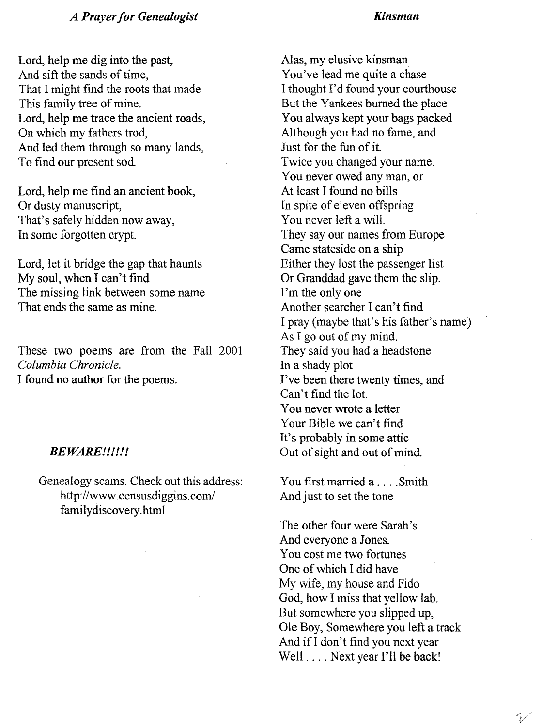#### *A Prayer for Genealogist*

#### *Kinsman*

Lord, help me dig into the past, And sift the sands of time, That I might find the roots that made This family tree of mine. Lord, help me trace the ancient roads, On which my fathers trod, And led them through so many lands, To find our present sod.

Lord, help me find an ancient book, Or dusty manuscript, That's safely hidden now away, In some forgotten crypt.

Lord, let it bridge the gap that haunts My soul, when I can't find The missing link between some name That ends the same as mine.

These two poems are from the Fall 2001 *Columbia Chronicle.* I found no author for the poems.

#### *BEWARE!!!!!!*

Genealogy scams. Check out this address: http://www.censusdiggins.com/ familydiscovery.html

Alas, my elusive kinsman You've lead me quite a chase I thought I'd found your courthouse But the Yankees burned the place You always kept your bags packed Although you had no fame, and Just for the fun of it. Twice you changed your name. You never owed any man, or At least I found no bills In spite of eleven offspring You never left a will. They say our names from Europe Came stateside on a ship Either they lost the passenger list Or Granddad gave them the slip. I'm the only one Another searcher I can't find I pray (maybe that's his father's name) As I go out of my mind. They said you had a headstone In a shady plot I've been there twenty times, and Can't find the lot. You never wrote a letter Your Bible we can't find It's probably in some attic Out of sight and out of mind.

You first married a .... Smith And just to set the tone

The other four were Sarah's And everyone a Jones. You cost me two fortunes One of which I did have My wife, my house and Fido God, how I miss that yellow lab. But somewhere you slipped up, Ole Boy, Somewhere you left a track And if I don't find you next year Well .... Next year I'll be back!

V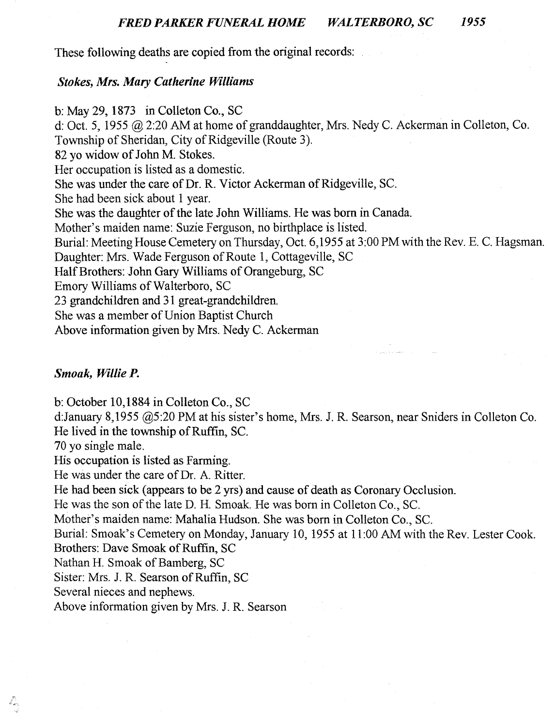These following deaths are copied from the original records:

#### *Stokes, Mrs. Mary Catherine Williams*

b: May 29, 1873 in Colleton Co., SC d: Oct. 5, 1955 @ 2:20 AM at home of granddaughter, Mrs. Nedy C. Ackerman in Colleton, Co. Township of Sheridan, City of Ridgeville (Route 3). 82 yo widow of John M. Stokes. Her occupation is listed as a domestic. She was under the care of Dr. R. Victor Ackerman of Ridgeville, SC. She had been sick about 1 year. She was the daughter of the late John Williams. He was born in Canada. Mother's maiden name: Suzie Ferguson, no birthplace is listed. Burial: Meeting House Cemetery on Thursday, Oct. 6,1955 at 3:00 PM with the Rev. E. C. Hagsman. Daughter: Mrs. Wade Ferguson of Route 1, Cottageville, SC Half Brothers: John Gary Williams of Orangeburg, SC Emory Williams of Walterboro, SC 23 grandchildren and 31 great-grandchildren. She was a member of Union Baptist Church Above information given by Mrs. Nedy C. Ackerman

#### *Smoak, Willie P.*

b: October 10,1884 in Colleton Co., SC

d:January 8,1955 @5:20 PM at his sister's home, Mrs. J. R. Searson, near Sniders in Colleton Co. He lived in the township of Ruffin, Sc.

70 yo single male.

His occupation is listed as Farming.

He was under the care of Dr. A. Ritter.

He had been sick (appears to be 2 yrs) and cause of death as Coronary Occlusion.

He was the son of the late D. H. Smoak. He was born in Colleton Co., SC.

Mother's maiden name: Mahalia Hudson. She was born in Colleton Co., Sc.

Burial: Smoak's Cemetery on Monday, January 10, 1955 at 11:00 AM with the Rev. Lester Cook. Brothers: Dave Smoak of Ruffin, SC

Nathan H. Smoak of Bamberg, SC

Sister: Mrs. J. R. Searson of Ruffin, SC

Several nieces and nephews.

Above information given by Mrs. J. R. Searson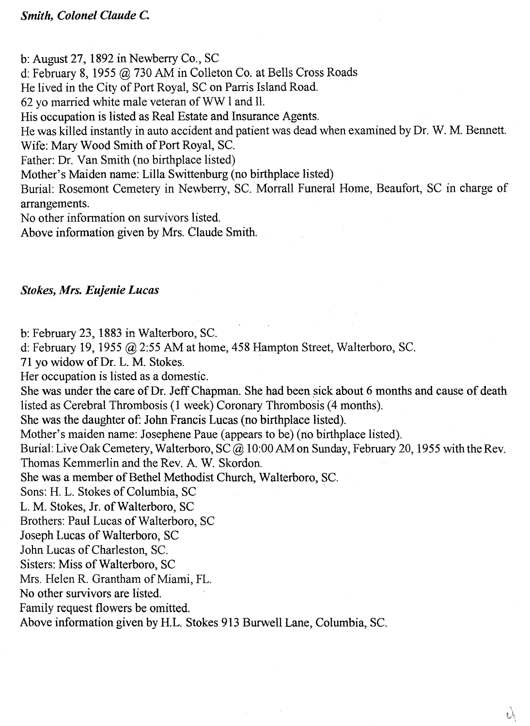b: August 27, 1892 in Newberry Co., SC

d: February 8, 1955 @ 730 AM in Colleton Co. at Bells Cross Roads

He lived in the City of Port Royal, SC on Parris Island Road.

62 yo married white male veteran of WW I and 11.

His occupation is listed as Real Estate and Insurance Agents.

He was killed instantly in auto accident and patient was dead when examined by Dr. W. M. Bennett.

Wife: Mary Wood Smith of Port Royal, SC.

Father: Dr. Van Smith (no birthplace listed)

Mother's Maiden name: Lilla Swittenburg (no birthplace listed)

Burial: Rosemont Cemetery in Newberry, SC. Morrall Funeral Home, Beaufort, SC in charge of arrangements.

No other information on survivors listed.

Above information given by Mrs. Claude Smith.

#### *Stokes, Mrs. Eujenie Lucas*

b: February 23, 1883 in Walterboro, SC.

d: February 19, 1955 @ 2:55 AM at home, 458 Hampton Street, Walterboro, SC.

71 yo widow of Dr. L. M. Stokes.

Her occupation is listed as a domestic.

She was under the care of Dr. Jeff Chapman. She had been sick about 6 months and cause of death listed as Cerebral Thrombosis (1 week) Coronary Thrombosis (4 months).

She was the daughter of: John Francis Lucas (no birthplace listed).

Mother's maiden name: Josephene Paue (appears to be) (no birthplace listed).

Burial: Live Oak Cemetery, Walterboro, SC@ 10:00 AM on Sunday, February 20, 1955 with the Rev. Thomas Kemmerlin and the Rev. A. W. Skordon.

She was a member of Bethel Methodist Church, Walterboro, sc.

Sons: H. L. Stokes of Columbia, SC

L. M. Stokes, Jr. of Walterboro, SC

Brothers: Paul Lucas of Walterboro, SC

Joseph Lucas of Walterboro, SC

John Lucas of Charleston, SC.

Sisters: Miss of Walterboro, SC

Mrs. Helen R. Grantham of Miami, FL.

No other survivors are listed.

Family request flowers be omitted.

Above information given by H.L. Stokes 913 Burwell Lane, Columbia, Sc.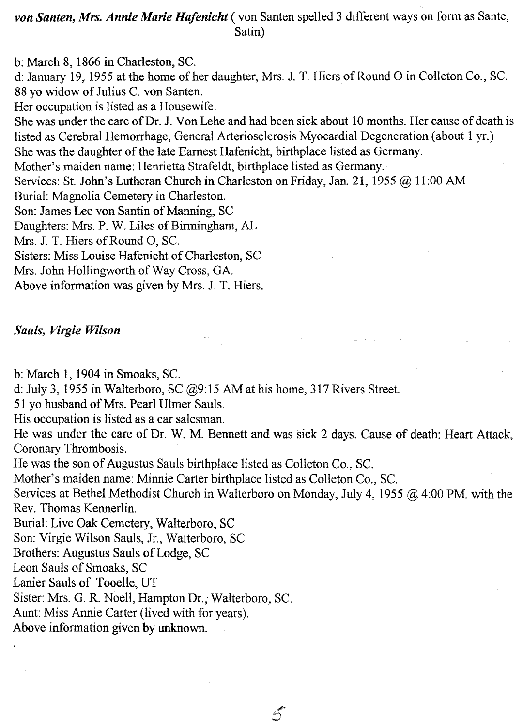## *von Santen, Mrs. Annie Marie Hafenicht* ( von Santen spelled 3 different ways on form as Sante, Satin)

b: March 8, 1866 in Charleston, SC. d: January 19, 1955 at the home of her daughter, Mrs. 1. T. Hiers of Round 0 in Colleton Co., Sc. 88 yo widow of Julius C. von Santen. Her occupation is listed as a Housewife. She was under the care of Dr. J. Yon Lehe and had been sick about 10 months. Her cause of death is listed as Cerebral Hemorrhage, General Arteriosclerosis Myocardial Degeneration (about 1 yr.) She was the daughter of the late Earnest Hafenicht, birthplace listed as Germany. Mother's maiden name: Henrietta Strafeldt, birthplace listed as Germany. Services: St. John's Lutheran Church in Charleston on Friday, Jan. 21, 1955 @ 11:00 AM Burial: Magnolia Cemetery in Charleston. Son: James Lee von Santin of Manning, SC Daughters: Mrs. P. W. Liles of Birmingham, AL Mrs. J. T. Hiers of Round 0, SC. Sisters: Miss Louise Hafenicht of Charleston, SC Mrs. John Hollingworth of Way Cross, GA. Above information was given by Mrs. 1. T. Hiers.

## *Sauls, Virgie Wilson*

b: March **1,** 1904 in Smoaks, SC.

d: July 3, 1955 in Walterboro, SC @9:15 AM at his home, 317 Rivers Street.

51 yo husband of Mrs. Pearl Ulmer Sauls.

His occupation is listed as a car salesman.

He was under the care of Dr. W. M. Bennett and was sick 2 days. Cause of death: Heart Attack, Coronary Thrombosis.

and the company of the product of the

He was the son of Augustus Sauls birthplace listed as Colleton Co., Sc.

Mother's maiden name: Minnie Carter birthplace listed as Colleton Co., Sc.

Services at Bethel Methodist Church in Walterboro on Monday, July 4, 1955 @ 4:00 PM. with the Rev. Thomas Kennerlin.

 $\mathcal{L}$ 

Burial: Live Oak Cemetery, Walterboro, SC

Son: Virgie Wilson Sauls, Jr., Walterboro, SC

Brothers: Augustus Sauls of Lodge, SC

Leon Sauls of Smoaks, SC

Lanier Sauls of Tooelle, UT

Sister: Mrs. G. R. Noell, Hampton Dr.; Walterboro, Sc.

Aunt: Miss Annie Carter (lived with for years).

Above information given by unknown.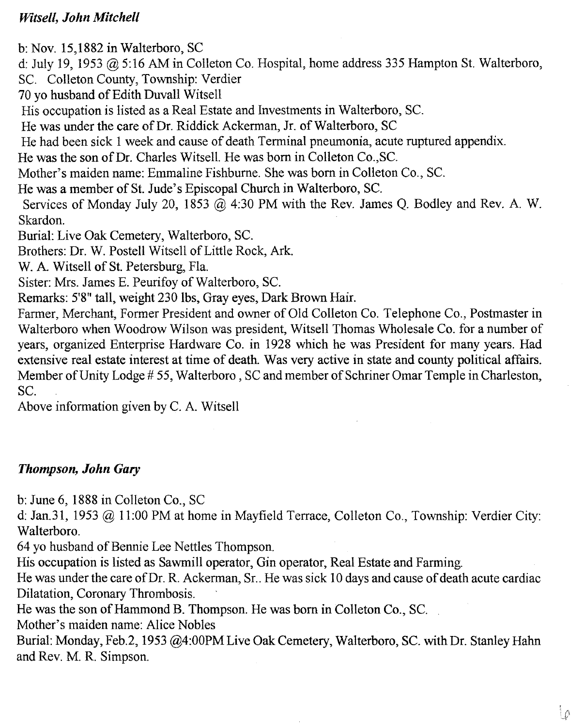## *Witsell, John Mitchell*

b: Nov. 15,1882 in Walterboro, SC

d: July 19, 1953  $@$  5:16 AM in Colleton Co. Hospital, home address 335 Hampton St. Walterboro,

SC. Colleton County, Township: Verdier

70 yo husband of Edith Duvall Witsell

His occupation is listed as a Real Estate and Investments in Walterboro, Sc.

He was under the care of Dr. Riddick Ackerman, Jr. of Walterboro, SC

He had been sick 1 week and cause of death Terminal pneumonia, acute ruptured appendix.

He was the son of Dr. Charles Witsell. He was born in Colleton Co., SC.

Mother's maiden name: Emmaline Fishburne. She was born in Colleton Co., SC.

He was a member of St. Jude's Episcopal Church in Walterboro, Sc.

Services of Monday July 20, 1853 @ 4:30 PM with the Rev. James Q. Bodley and Rev. A. W. Skardon.

Burial: Live Oak Cemetery, Walterboro, sc.

Brothers: Dr. W. Postell Witsell of Little Rock, Ark.

W. A. Witsell of St. Petersburg, Fla.

Sister: Mrs. James E. Peurifoy of Walterboro, Sc.

Remarks: 5'8" tall, weight 230 lbs, Gray eyes, Dark Brown Hair.

Farmer, Merchant, Former President and owner of Old Colleton Co. Telephone Co., Postmaster in Walterboro when Woodrow Wilson was president, Witsell Thomas Wholesale Co. for a number of years, organized Enterprise Hardware Co. in 1928 which he was President for many years. Had extensive real estate interest at time of death. Was very active in state and county political affairs. Member of Unity Lodge # 55, Walterboro, SC and member of Schriner Omar Temple in Charleston, SC.

Above information given by C. A. Witsell

## *Thompson, John Gary*

b: June 6, 1888 in Colleton Co., SC

d: Jan.31, 1953 @ 11:00 PM at home in Mayfield Terrace, Colleton Co., Township: Verdier City: Walterboro.

64 yo husband of Bennie Lee Nettles Thompson.

His occupation is listed as Sawmill operator, Gin operator, Real Estate and Farming.

He was under the care of Dr. R. Ackerman, Sr.. He was sick 10 days and cause of death acute cardiac Dilatation, Coronary Thrombosis.

He was the son of Hammond B. Thompson. He was born in Colleton Co., SC.

Mother's maiden name: Alice Nobles

Burial: Monday, Feb.2, 1953 @4:00PM Live Oak Cemetery, Walterboro, SC. with Dr. Stanley Hahn and Rev. M. R. Simpson.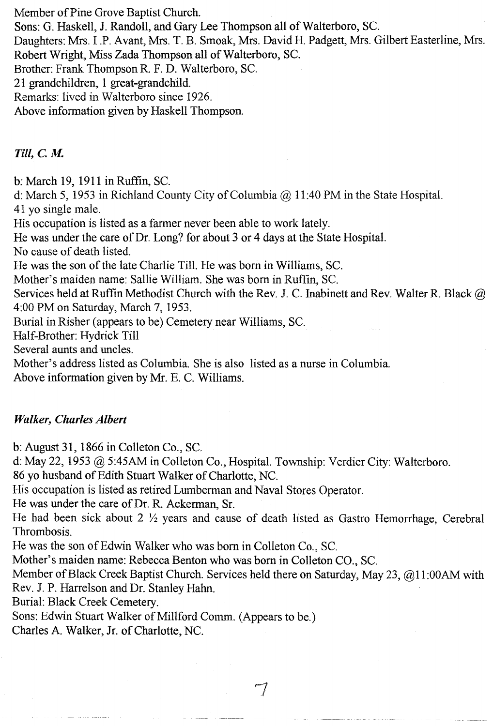Member of Pine Grove Baptist Church.

Sons: G. Haskell, J. Randoll, and Gary Lee Thompson all of Walterboro, Sc.

Daughters: Mrs. I .P. Avant, Mrs. T. B. Smoak, Mrs. David H. Padgett, Mrs. Gilbert Easterline, Mrs. Robert Wright, Miss Zada Thompson all of Walterboro, Sc.

Brother: Frank Thompson R. F. D. Walterboro, SC.

21 grandchildren, 1 great-grandchild.

Remarks: lived in Walterboro since 1926.

Above information given by Haskell Thompson.

Till, C. M.

b: March 19, 1911 in Ruffin, SC.

d: March 5, 1953 in Richland County City of Columbia @ 11:40 PM in the State Hospital. 41 yo single male.

His occupation is listed as a farmer never been able to work lately.

He was under the care of Dr. Long? for about 3 or 4 days at the State Hospital.

No cause of death listed.

He was the son of the late Charlie Till. He was born in Williams, SC.

Mother's maiden name: Sallie William. She was born in Ruffin, SC.

Services held at Ruffin Methodist Church with the Rev. J. C. Inabinett and Rev. Walter R. Black @ 4:00 PM on Saturday, March 7, 1953.

Burial in Risher (appears to be) Cemetery near Williams, SC.

Half-Brother: Hydrick Till

Several aunts and uncles.

Mother's address listed as Columbia. She is also listed as a nurse in Columbia.

Above information given by Mr. E. C. Williams.

## *Walker, Charles Albert*

b: August 31, 1866 in Colleton Co., SC.

d: May 22, 1953 @ 5:45AM in Colleton Co., Hospital. Township: Verdier City: Walterboro.

86 yo husband of Edith Stuart Walker of Charlotte, NC.

His occupation is listed as retired Lumberman and Naval Stores Operator.

He was under the care of Dr. R. Ackerman, Sr.

He had been sick about  $2 \frac{1}{2}$  years and cause of death listed as Gastro Hemorrhage, Cerebral Thrombosis.

He was the son of Edwin Walker who was born in Colleton Co., SC.

Mother's maiden name: Rebecca Benton who was born in Colleton CO., Sc.

Member of Black Creek Baptist Church. Services held there on Saturday, May 23, @11:00AM with Rev. J. P. Harrelson and Dr. Stanley Hahn.

Burial: Black Creek Cemetery.

Sons: Edwin Stuart Walker of Millford Comm. (Appears to be.)

Charles A. Walker, Jr. of Charlotte, NC.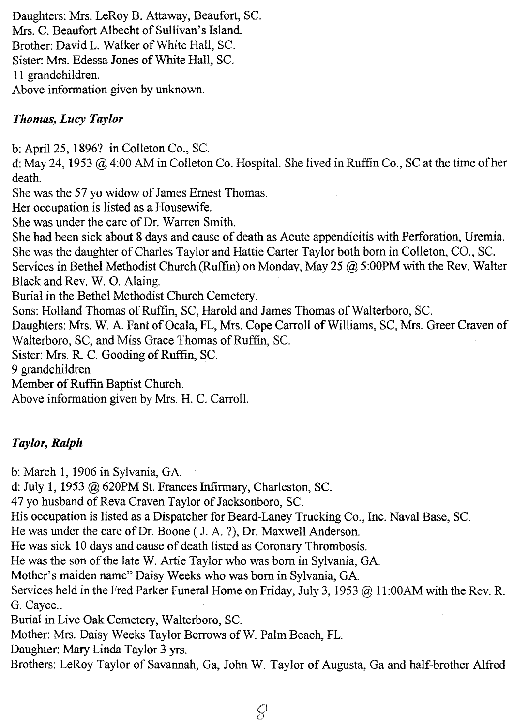Daughters: Mrs. LeRoy B. Attaway, Beaufort, SC. Mrs. C. Beaufort Albecht of Sullivan's Island. Brother: David L. Walker of White Hall, SC. Sister: Mrs. Edessa Jones of White Hall, SC. 11 grandchildren. Above information given by unknown.

## *Thomas, Lucy Taylor*

b: April 25, 1896? in Colleton Co., SC.

d: May 24, 1953 @ 4:00 AM in Colleton Co. Hospital. She lived in Ruffin Co., SC at the time of her death.

She was the 57 yo widow of James Ernest Thomas.

Her occupation is listed as a Housewife.

She was under the care of Dr. Warren Smith.

She had been sick about 8 days and cause of death as Acute appendicitis with Perforation, Uremia. She was the daughter of Charles Taylor and Hattie Carter Taylor both born in Colleton, CO., sc.

Services in Bethel Methodist Church (Ruffin) on Monday, May 25 @ 5:00PM with the Rev. Walter Black and Rev. W. O. Alaing.

Burial in the Bethel Methodist Church Cemetery.

Sons: Holland Thomas of Ruffin, SC, Harold and James Thomas of Walterboro, SC.

Daughters: Mrs. W. A. Fant of Ocala, FL, Mrs. Cope Carroll of Williams, SC, Mrs. Greer Craven of Walterboro, SC, and Miss Grace Thomas of Ruffin, sc.

Sister: Mrs. R C. Gooding of Ruffin, SC.

9 grandchildren

Member of Ruffin Baptist Church.

Above information given by Mrs. H. C. Carroll.

## *Taylor, Ralph*

b: March 1, 1906 in Sylvania, GA.

d: July 1, 1953 @ 620PM St. Frances Infirmary, Charleston, SC.

47 yo husband of Reva Craven Taylor of Jacksonboro, SC.

His occupation is listed as a Dispatcher for Beard-Laney Trucking Co., Inc. Naval Base, Sc.

He was under the care of Dr. Boone (J. A. ?), Dr. Maxwell Anderson.

He was sick 10 days and cause of death listed as Coronary Thrombosis.

He was the son of the late W. Artie Taylor who was born in Sylvania, GA.

Mother's maiden name" Daisy Weeks who was born in Sylvania, GA.

Services held in the Fred Parker Funeral Home on Friday, July 3, 1953 @ 11:00AM with the Rev. R. G. Cayce..

Burial in Live Oak Cemetery, Walterboro, SC.

Mother: Mrs. Daisy Weeks Taylor Berrows of W. Palm Beach, FL.

Daughter: Mary Linda Taylor 3 yrs.

Brothers: LeRoy Taylor of Savannah, Ga, John W. Taylor of Augusta, Ga and half-brother Alfred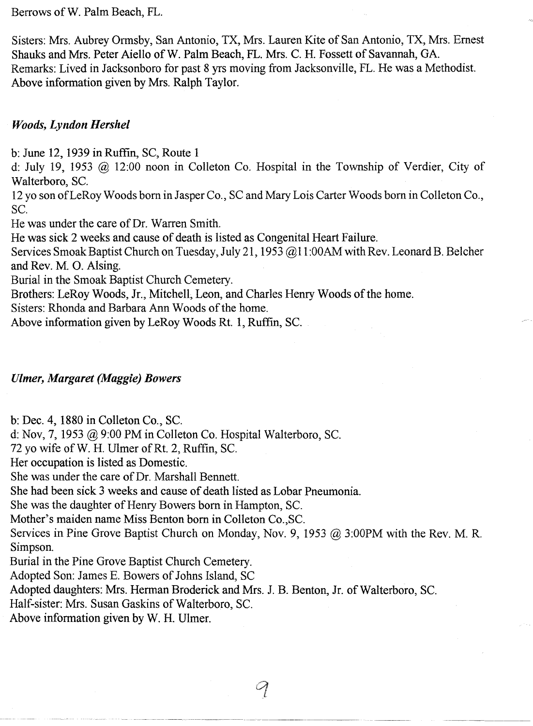Berrows of W. Palm Beach, FL.

Sisters: Mrs. Aubrey Ormsby, San Antonio, TX, Mrs. Lauren Kite of San Antonio, TX, Mrs. Ernest Shauks and Mrs. Peter Aiello of W. Palm Beach, FL. Mrs. C. H. Fossett of Savannah, GA. Remarks: Lived in Jacksonboro for past 8 yrs moving from Jacksonville, FL. He was a Methodist. Above information given by Mrs. Ralph Taylor.

### *Woods, Lyndon Hershel*

b: June 12, 1939 in Ruffin, SC, Route 1

d: July 19, 1953 @ 12:00 noon in Colleton Co. Hospital in the Township of Verdier, City of Walterboro, Sc.

12 yo son of LeRoy Woods born in Jasper Co., SC and Mary Lois Carter Woods born in Colleton Co., Sc.

He was under the care of Dr. Warren Smith.

He was sick 2 weeks and cause of death is listed as Congenital Heart Failure.

Services Smoak Baptist Church on Tuesday, July 21, 1953 @11 :OOAMwith Rev. Leonard B. Belcher and Rev. M. O. Alsing.

Burial in the Smoak Baptist Church Cemetery.

Brothers: LeRoy Woods, Jr., Mitchell, Leon, and Charles Henry Woods of the home.

Sisters: Rhonda and Barbara Ann Woods of the home.

Above information given by LeRoy Woods Rt. 1, Ruffin, Sc.

#### *Ulmer, Margaret (Maggie) Bowers*

b: Dec. 4, 1880 in Colleton Co., Sc.

d: Nov, 7, 1953 @ 9:00 PM in Colleton Co. Hospital Walterboro, Sc.

72 yo wife of W. H. Ulmer of Rt. 2, Ruffin, Sc.

Her occupation is listed as Domestic.

She was under the care of Dr. Marshall Bennett.

She had been sick 3 weeks and cause of death listed as Lobar Pneumonia.

She was the daughter of Henry Bowers born in Hampton, Sc.

Mother's maiden name Miss Benton born in Colleton CO.,SC.

Services in Pine Grove Baptist Church on Monday, Nov. 9, 1953 @ 3:00PM with the Rev. M. R. Simpson.

Burial in the Pine Grove Baptist Church Cemetery.

Adopted Son: James E. Bowers of Johns Island, SC

Adopted daughters: Mrs. Herman Broderick and Mrs. J. B. Benton, Jr. of Walterboro, Sc.

Half-sister: Mrs. Susan Gaskins of Walterboro, Sc.

Above information given by W. H. Ulmer.

 $\mathcal{P}$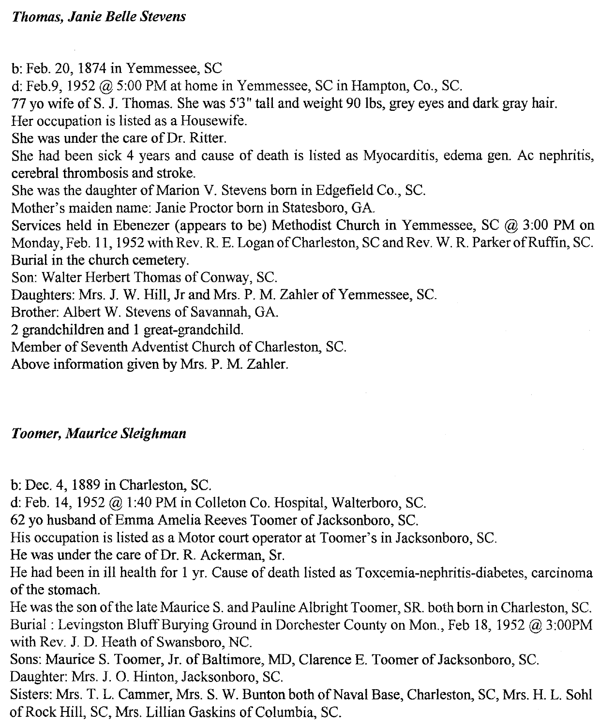b: Feb. 20, 1874 in Yemmessee, SC

d: Feb.9, 1952 @ 5:00 PM at home in Yemmessee, SC in Hampton, Co., Sc.

77 yo wife of S. J. Thomas. She was 5'3" tall and weight 90 lbs, grey eyes and dark gray hair.

Her occupation is listed as a Housewife.

She was under the care of Dr. Ritter.

She had been sick 4 years and cause of death is listed as Myocarditis, edema gen. Ac nephritis, cerebral thrombosis and stroke.

She was the daughter of Marion V. Stevens born in Edgefield Co., Sc.

Mother's maiden name: Janie Proctor born in Statesboro, GA.

Services held in Ebenezer (appears to be) Methodist Church in Yemmessee, SC @ 3:00 PM on Monday, Feb. 11, 1952 with Rev. R. E. Logan of Charleston, SC and Rev. W. R. Parker of Ruffin, Sc. Burial in the church cemetery.

Son: Walter Herbert Thomas of Conway, SC.

Daughters: Mrs. J. W. Hill, Jr and Mrs. P. M. Zahler of Yemmessee, SC.

Brother: Albert W. Stevens of Savannah, GA.

2 grandchildren and 1 great-grandchild.

Member of Seventh Adventist Church of Charleston, SC.

Above information given by Mrs. P. M. Zahler.

## *Toomer, Maurice Sleighman*

b: Dec. 4, 1889 in Charleston, SC.

d: Feb. 14, 1952 @ 1:40 PM in Colleton Co. Hospital, Walterboro, SC.

62 yo husband of Emma Amelia Reeves Toomer of Jacksonboro, Sc.

His occupation is listed as a Motor court operator at Toomer's in Jacksonboro, SC.

He was under the care of Dr. R. Ackerman, Sr.

He had been in ill health for I yr. Cause of death listed as Toxcemia-nephritis-diabetes, carcinoma of the stomach.

He was the son of the late Maurice S. and Pauline Albright Toomer, SR. both born in Charleston, SC. Burial: Levingston Bluff Burying Ground in Dorchester County on Mon., Feb 18, 1952 @ 3:00PM with Rev. J. D. Heath of Swansboro, NC.

Sons: Maurice S. Toomer, Jr. of Baltimore, MD, Clarence E. Toomer of Jacksonboro, Sc. Daughter: Mrs. J. O. Hinton, Jacksonboro, Sc.

Sisters: Mrs. T. L. Cammer, Mrs. S. W. Bunton both of Naval Base, Charleston, SC, Mrs. H. L. Sohl of Rock Hill, SC, Mrs. Lillian Gaskins of Columbia, Sc.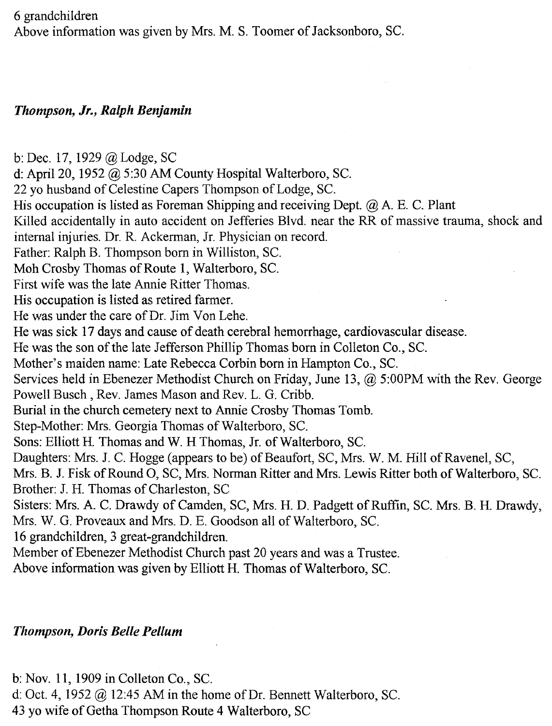6 grandchildren

Above information was given by Mrs. M. S. Toomer of Jacksonboro, SC.

## *Thompson, Jr., Ralph Benjamin*

b: Dec. 17, 1929 @ Lodge, SC d: April 20, 1952 @ 5:30 AM County Hospital Walterboro, Sc. 22 yo husband of Celestine Capers Thompson of Lodge, SC. His occupation is listed as Foreman Shipping and receiving Dept. @ A. E. C. Plant Killed accidentally in auto accident on Jefferies Blvd. near the RR of massive trauma, shock and internal injuries. Dr. R. Ackerman, Jr. Physician on record. Father: Ralph B. Thompson born in Williston, Sc. Moh Crosby Thomas of Route 1, Walterboro, SC. First wife was the late Annie Ritter Thomas. His occupation is listed as retired farmer. He was under the care of Dr. Jim Von Lehe. He was sick 17 days and cause of death cerebral hemorrhage, cardiovascular disease. He was the son of the late Jefferson Phillip Thomas born in Colleton Co., SC. Mother's maiden name: Late Rebecca Corbin born in Hampton Co., Sc. Services held in Ebenezer Methodist Church on Friday, June 13, @ 5:00PM with the Rev. George Powell Busch, Rev. James Mason and Rev. L. G. Cribb. Burial in the church cemetery next to Annie Crosby Thomas Tomb. Step-Mother: Mrs. Georgia Thomas of Walterboro, SC. Sons: Elliott H. Thomas and W. H Thomas, Jr. of Walterboro, SC. Daughters: Mrs. J. C. Hogge (appears to be) of Beaufort, SC, Mrs. W. M. Hill of Ravenel, SC, Mrs. B. J. Fisk of Round 0, SC, Mrs. Norman Ritter and Mrs. Lewis Ritter both of Walterboro, SC. Brother: J. H. Thomas of Charleston, SC Sisters: Mrs. A. C. Drawdy of Camden, SC, Mrs. H. D. Padgett of Ruffin, SC. Mrs. B. H. Drawdy, Mrs. W. G. Proveaux and Mrs. D. E. Goodson all of Walterboro, SC. 16 grandchildren, 3 great-grandchildren. Member of Ebenezer Methodist Church past 20 years and was a Trustee.

Above information was given by Elliott H. Thomas of Walterboro, sc.

## *Thompson, Doris Belle Pellum*

b: Nov. 11, 1909 in Colleton Co., Sc.

d: Oct. 4, 1952 @ 12:45 AM in the home of Dr. Bennett Walterboro, SC.

43 yo wife of Getha Thompson Route 4 Walterboro, SC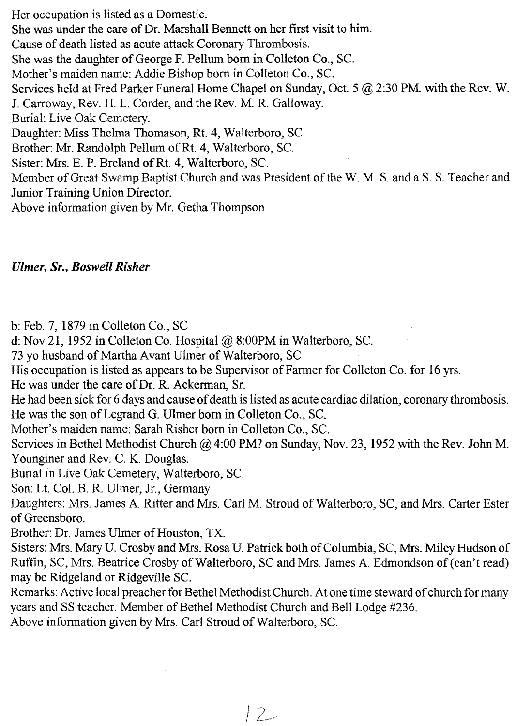Her occupation is listed as a Domestic. She was under the care of Dr. Marshall Bennett on her first visit to him. Cause of death listed as acute attack Coronary Thrombosis. She was the daughter of George F. Pellum born in Colleton Co., SC. Mother's maiden name: Addie Bishop born in Colleton Co., SC. Services held at Fred Parker Funeral Home Chapel on Sunday, Oct. 5 @ 2:30 PM with the Rev. W. J. Carroway, Rev. H. L. Corder, and the Rev. M. R. Galloway. Burial: Live Oak Cemetery. Daughter: Miss Thelma Thomason, Rt. 4, Walterboro, SC. Brother: Mr. Randolph Pellum of Rt. 4, Walterboro, SC. Sister: Mrs. E. P. Breland of Rt. 4, Walterboro, SC. Member of Great Swamp Baptist Church and was President of the W. M. S. and a S. S. Teacher and Junior Training Union Director. Above information given by Mr. Getha Thompson

## *Ulmer, Sr., Boswell Risher*

b: Feb. 7, 1879 in Colleton Co., SC

d: Nov 21, 1952 in Colleton Co. Hospital @ 8:00PM in Walterboro, SC.

73 yo husband of Martha Avant Ulmer of Walterboro, SC

His occupation is listed as appears to be Supervisor of Farmer for Colleton Co. for 16 yrs.

He was under the care of Dr. R. Ackerman, Sr.

He had been sick for 6 days and cause of death is listed as acute cardiac dilation, coronary thrombosis. He was the son of Legrand G. Ulmer born in Colleton Co., SC.

Mother's maiden name: Sarah Risher born in Colleton Co., Sc.

Services in Bethel Methodist Church @ 4:00 PM? on Sunday, Nov. 23, 1952 with the Rev. John M. Younginer and Rev. C. K. Douglas.

Burial in Live Oak Cemetery, Walterboro, sc.

Son: Lt. Co!. B. R. Ulmer, Jr., Germany

Daughters: Mrs. James A. Ritter and Mrs. Carl M. Stroud of Walterboro, SC, and Mrs. Carter Ester of Greensboro.

Brother: Dr. James Ulmer of Houston, TX.

Sisters: Mrs. Mary U. Crosby and Mrs. Rosa U. Patrick both of Columbia, SC, Mrs. Miley Hudson of Ruffin, SC, Mrs. Beatrice Crosby of Walterboro, SC and Mrs. James A. Edmondson of (can't read) may be Ridgeland or Ridgeville SC.

Remarks: Active local preacher for Bethel Methodist Church. At one time steward of church for many years and SS teacher. Member of Bethel Methodist Church and Bell Lodge #236.

Above information given by Mrs. Carl Stroud of Walterboro, SC.

 $12-$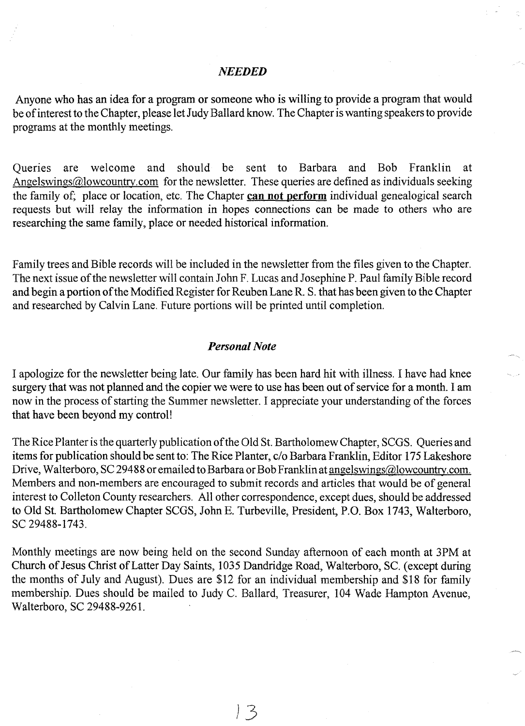#### **NEEDED**

Anyone who has an idea for a program or someone who is willing to provide a program that would be of interest to the Chapter, please let Judy Ballard know. The Chapter is wanting speakers to provide programs at the monthly meetings.

Queries are welcome and should be sent to Barbara and Bob Franklin at Angelswings@lowcountry.com for the newsletter. These queries are defined as individuals seeking the family of; place or location, etc. The Chapter can not perform individual genealogical search requests but will relay the information in hopes connections can be made to others who are researching the same family, place or needed historical information.

Family trees and Bible records will be included in the newsletter from the files given to the Chapter. The next issue of the newsletter will contain John F. Lucas and Josephine P. Paul family Bible record and begin a portion of the Modified Register for Reuben Lane R. S. that has been given to the Chapter and researched by Calvin Lane. Future portions will be printed until completion.

#### *Personal Note*

I apologize for the newsletter being late. Our family has been hard hit with illness. I have had knee surgery that was not planned and the copier we were to use has been out of service for a month. I am now in the process of starting the Summer newsletter. I appreciate your understanding of the forces that have been beyond my control!

The Rice Planter is the quarterly publication of the Old St. Bartholomew Chapter, SCGS. Queries and items for publication should be sent to: The Rice Planter, c/o Barbara Franklin, Editor 175 Lakeshore Drive, Walterboro, SC 29488 or emailed to Barbara or Bob Franklin at angelswings@lowcountry.com. Members and non-members are encouraged to submit records and articles that would be of general interest to Colleton County researchers. All other correspondence, except dues, should be addressed to Old St. Bartholomew Chapter SCGS, John E. Turbeville, President, P.O. Box 1743, Walterboro, SC 29488-1743.

Monthly meetings are now being held on the second Sunday afternoon of each month at 3PM at Church of Jesus Christ of Latter Day Saints, 1035 Dandridge Road, Walterboro, Sc. (except during the months of July and August). Dues are \$12 for an individual membership and \$18 for family membership. Dues should be mailed to Judy C. Ballard, Treasurer, 104 Wade Hampton Avenue, Walterboro, SC 29488-9261.

). 3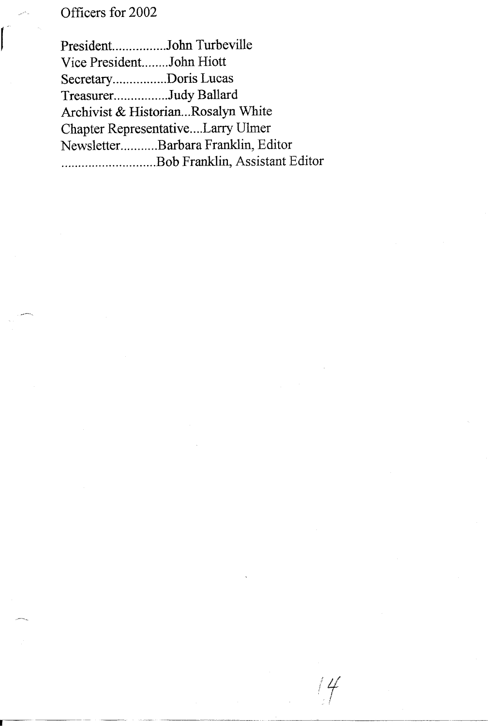## Officers for 2002

President...............John Turbeville Vice President........John Hiott Secretary..............Doris Lucas Treasurer...............Judy Ballard Archivist & Historian...Rosalyn White Chapter Representative ....Larry Ulmer Newsletter...........Barbara Franklin, Editor ............................ Bob Franklin, Assistant Editor

*Lf* !